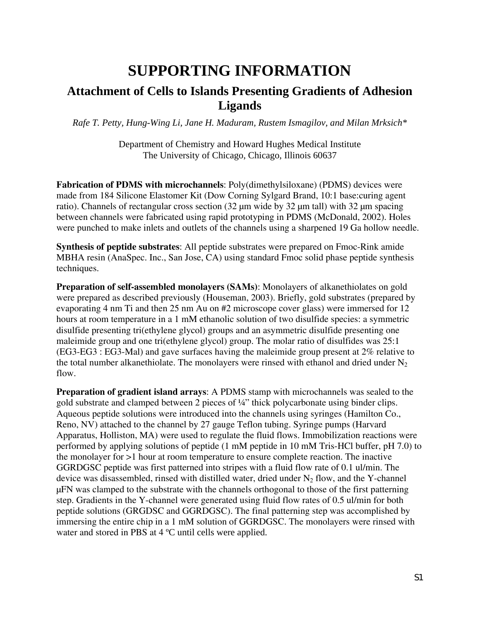## **SUPPORTING INFORMATION**

## **Attachment of Cells to Islands Presenting Gradients of Adhesion Ligands**

*Rafe T. Petty, Hung-Wing Li, Jane H. Maduram, Rustem Ismagilov, and Milan Mrksich\** 

Department of Chemistry and Howard Hughes Medical Institute The University of Chicago, Chicago, Illinois 60637

**Fabrication of PDMS with microchannels**: Poly(dimethylsiloxane) (PDMS) devices were made from 184 Silicone Elastomer Kit (Dow Corning Sylgard Brand, 10:1 base:curing agent ratio). Channels of rectangular cross section (32 µm wide by 32 µm tall) with 32 µm spacing between channels were fabricated using rapid prototyping in PDMS (McDonald, 2002). Holes were punched to make inlets and outlets of the channels using a sharpened 19 Ga hollow needle.

**Synthesis of peptide substrates**: All peptide substrates were prepared on Fmoc-Rink amide MBHA resin (AnaSpec. Inc., San Jose, CA) using standard Fmoc solid phase peptide synthesis techniques.

**Preparation of self-assembled monolayers (SAMs)**: Monolayers of alkanethiolates on gold were prepared as described previously (Houseman, 2003). Briefly, gold substrates (prepared by evaporating 4 nm Ti and then 25 nm Au on #2 microscope cover glass) were immersed for 12 hours at room temperature in a 1 mM ethanolic solution of two disulfide species: a symmetric disulfide presenting tri(ethylene glycol) groups and an asymmetric disulfide presenting one maleimide group and one tri(ethylene glycol) group. The molar ratio of disulfides was 25:1 (EG3-EG3 : EG3-Mal) and gave surfaces having the maleimide group present at 2% relative to the total number alkanethiolate. The monolayers were rinsed with ethanol and dried under  $N_2$ flow.

**Preparation of gradient island arrays**: A PDMS stamp with microchannels was sealed to the gold substrate and clamped between 2 pieces of ¼" thick polycarbonate using binder clips. Aqueous peptide solutions were introduced into the channels using syringes (Hamilton Co., Reno, NV) attached to the channel by 27 gauge Teflon tubing. Syringe pumps (Harvard Apparatus, Holliston, MA) were used to regulate the fluid flows. Immobilization reactions were performed by applying solutions of peptide (1 mM peptide in 10 mM Tris-HCl buffer, pH 7.0) to the monolayer for >1 hour at room temperature to ensure complete reaction. The inactive GGRDGSC peptide was first patterned into stripes with a fluid flow rate of 0.1 ul/min. The device was disassembled, rinsed with distilled water, dried under  $N_2$  flow, and the Y-channel µFN was clamped to the substrate with the channels orthogonal to those of the first patterning step. Gradients in the Y-channel were generated using fluid flow rates of 0.5 ul/min for both peptide solutions (GRGDSC and GGRDGSC). The final patterning step was accomplished by immersing the entire chip in a 1 mM solution of GGRDGSC. The monolayers were rinsed with water and stored in PBS at 4 °C until cells were applied.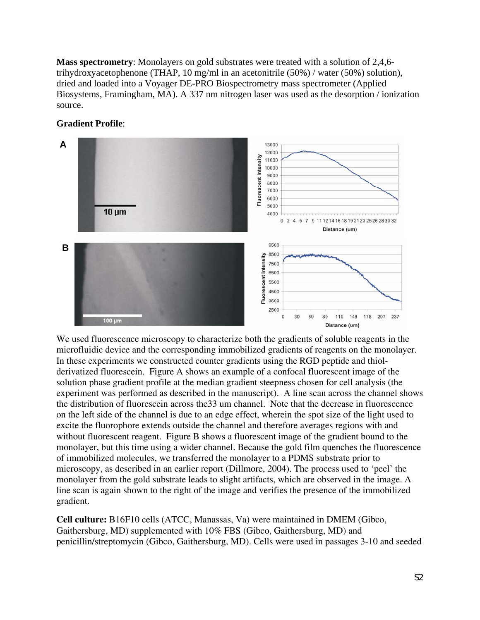**Mass spectrometry**: Monolayers on gold substrates were treated with a solution of 2,4,6 trihydroxyacetophenone (THAP, 10 mg/ml in an acetonitrile (50%) / water (50%) solution), dried and loaded into a Voyager DE-PRO Biospectrometry mass spectrometer (Applied Biosystems, Framingham, MA). A 337 nm nitrogen laser was used as the desorption / ionization source.

## **Gradient Profile**:



We used fluorescence microscopy to characterize both the gradients of soluble reagents in the microfluidic device and the corresponding immobilized gradients of reagents on the monolayer. In these experiments we constructed counter gradients using the RGD peptide and thiolderivatized fluorescein. Figure A shows an example of a confocal fluorescent image of the solution phase gradient profile at the median gradient steepness chosen for cell analysis (the experiment was performed as described in the manuscript). A line scan across the channel shows the distribution of fluorescein across the33 um channel. Note that the decrease in fluorescence on the left side of the channel is due to an edge effect, wherein the spot size of the light used to excite the fluorophore extends outside the channel and therefore averages regions with and without fluorescent reagent. Figure B shows a fluorescent image of the gradient bound to the monolayer, but this time using a wider channel. Because the gold film quenches the fluorescence of immobilized molecules, we transferred the monolayer to a PDMS substrate prior to microscopy, as described in an earlier report (Dillmore, 2004). The process used to 'peel' the monolayer from the gold substrate leads to slight artifacts, which are observed in the image. A line scan is again shown to the right of the image and verifies the presence of the immobilized gradient.

**Cell culture:** B16F10 cells (ATCC, Manassas, Va) were maintained in DMEM (Gibco, Gaithersburg, MD) supplemented with 10% FBS (Gibco, Gaithersburg, MD) and penicillin/streptomycin (Gibco, Gaithersburg, MD). Cells were used in passages 3-10 and seeded